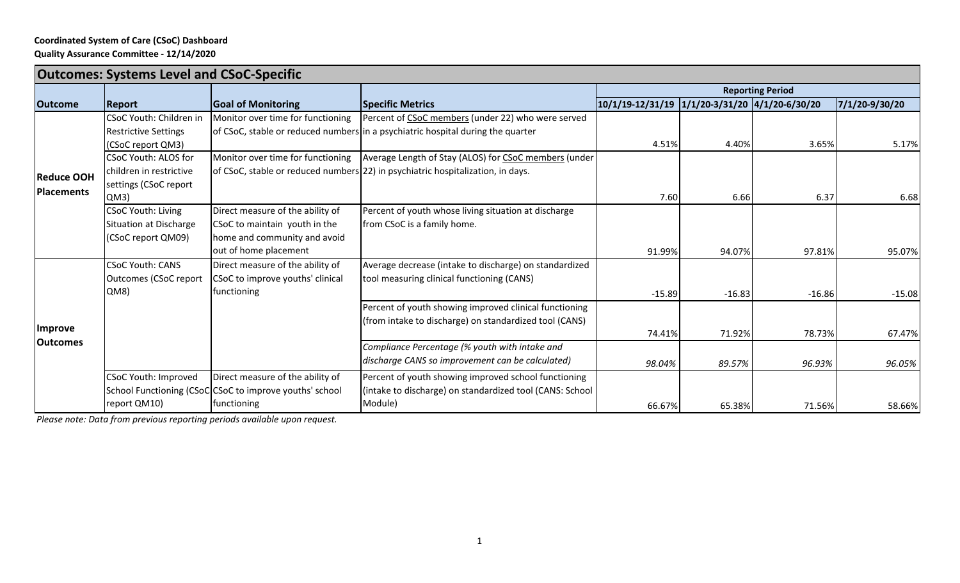## **Coordinated System of Care (CSoC) Dashboard**

**Quality Assurance Committee ‐ 12/14/2020**

| <b>Outcomes: Systems Level and CSoC-Specific</b> |                             |                                                         |                                                                                 |                         |                  |                      |                |
|--------------------------------------------------|-----------------------------|---------------------------------------------------------|---------------------------------------------------------------------------------|-------------------------|------------------|----------------------|----------------|
|                                                  |                             |                                                         |                                                                                 | <b>Reporting Period</b> |                  |                      |                |
| <b>Outcome</b>                                   | <b>Report</b>               | <b>Goal of Monitoring</b>                               | <b>Specific Metrics</b>                                                         | $10/1/19 - 12/31/19$    | $1/1/20-3/31/20$ | $ 4/1/20 - 6/30/20 $ | 7/1/20-9/30/20 |
| <b>Reduce OOH</b>                                | CSoC Youth: Children in     | Monitor over time for functioning                       | Percent of CSoC members (under 22) who were served                              |                         |                  |                      |                |
|                                                  | <b>Restrictive Settings</b> |                                                         | of CSoC, stable or reduced numbers in a psychiatric hospital during the quarter |                         |                  |                      |                |
|                                                  | (CSoC report QM3)           |                                                         |                                                                                 | 4.51%                   | 4.40%            | 3.65%                | 5.17%          |
|                                                  | <b>CSoC Youth: ALOS for</b> | Monitor over time for functioning                       | Average Length of Stay (ALOS) for CSoC members (under                           |                         |                  |                      |                |
|                                                  | children in restrictive     |                                                         | of CSoC, stable or reduced numbers 22) in psychiatric hospitalization, in days. |                         |                  |                      |                |
|                                                  | settings (CSoC report       |                                                         |                                                                                 |                         |                  |                      |                |
| <b>Placements</b>                                | QM3)                        |                                                         |                                                                                 | 7.60                    | 6.66             | 6.37                 | 6.68           |
|                                                  | <b>CSoC Youth: Living</b>   | Direct measure of the ability of                        | Percent of youth whose living situation at discharge                            |                         |                  |                      |                |
|                                                  | Situation at Discharge      | CSoC to maintain youth in the                           | from CSoC is a family home.                                                     |                         |                  |                      |                |
|                                                  | (CSoC report QM09)          | home and community and avoid                            |                                                                                 |                         |                  |                      |                |
|                                                  |                             | out of home placement                                   |                                                                                 | 91.99%                  | 94.07%           | 97.81%               | 95.07%         |
| <i><b>Improve</b></i><br><b>Outcomes</b>         | <b>CSoC Youth: CANS</b>     | Direct measure of the ability of                        | Average decrease (intake to discharge) on standardized                          |                         |                  |                      |                |
|                                                  | Outcomes (CSoC report       | CSoC to improve youths' clinical                        | tool measuring clinical functioning (CANS)                                      |                         |                  |                      |                |
|                                                  | QM8                         | functioning                                             |                                                                                 | $-15.89$                | $-16.83$         | $-16.86$             | $-15.08$       |
|                                                  |                             |                                                         | Percent of youth showing improved clinical functioning                          |                         |                  |                      |                |
|                                                  |                             |                                                         | (from intake to discharge) on standardized tool (CANS)                          |                         |                  |                      |                |
|                                                  |                             |                                                         |                                                                                 | 74.41%                  | 71.92%           | 78.73%               | 67.47%         |
|                                                  |                             |                                                         | Compliance Percentage (% youth with intake and                                  |                         |                  |                      |                |
|                                                  |                             |                                                         | discharge CANS so improvement can be calculated)                                | 98.04%                  | 89.57%           | 96.93%               | 96.05%         |
|                                                  | CSoC Youth: Improved        | Direct measure of the ability of                        | Percent of youth showing improved school functioning                            |                         |                  |                      |                |
|                                                  |                             | School Functioning (CSoC CSoC to improve youths' school | (intake to discharge) on standardized tool (CANS: School                        |                         |                  |                      |                |
|                                                  | report QM10)                | functioning                                             | Module)                                                                         | 66.67%                  | 65.38%           | 71.56%               | 58.66%         |

*Please note: Data from previous reporting periods available upon request.*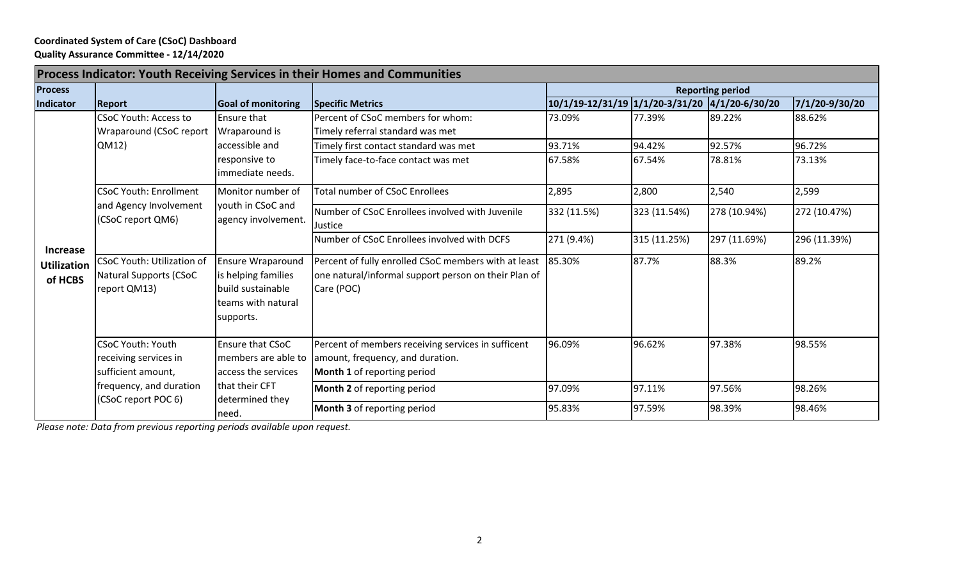## **Coordinated System of Care (CSoC) Dashboard Quality Assurance Committee ‐ 12/14/2020**

| <b>Process Indicator: Youth Receiving Services in their Homes and Communities</b> |                                                                                                                                                                                                                                                  |                                                                                                                       |                                                                                                                                                       |                                 |                            |                            |                            |  |  |
|-----------------------------------------------------------------------------------|--------------------------------------------------------------------------------------------------------------------------------------------------------------------------------------------------------------------------------------------------|-----------------------------------------------------------------------------------------------------------------------|-------------------------------------------------------------------------------------------------------------------------------------------------------|---------------------------------|----------------------------|----------------------------|----------------------------|--|--|
| <b>Process</b>                                                                    |                                                                                                                                                                                                                                                  |                                                                                                                       |                                                                                                                                                       | <b>Reporting period</b>         |                            |                            |                            |  |  |
| Indicator                                                                         | <b>Report</b>                                                                                                                                                                                                                                    | <b>Goal of monitoring</b>                                                                                             | <b>Specific Metrics</b>                                                                                                                               | 10/1/19-12/31/19 1/1/20-3/31/20 |                            | $ 4/1/20-6/30/20$          | 7/1/20-9/30/20             |  |  |
| <b>Increase</b><br><b>Utilization</b><br>of HCBS                                  | <b>CSoC Youth: Access to</b><br>Wraparound (CSoC report<br>QM12)                                                                                                                                                                                 | <b>Ensure that</b><br>Wraparound is<br>accessible and<br>responsive to                                                | Percent of CSoC members for whom:<br>Timely referral standard was met<br>Timely first contact standard was met<br>Timely face-to-face contact was met | 73.09%<br>93.71%<br>67.58%      | 77.39%<br>94.42%<br>67.54% | 89.22%<br>92.57%<br>78.81% | 88.62%<br>96.72%<br>73.13% |  |  |
|                                                                                   |                                                                                                                                                                                                                                                  | limmediate needs.                                                                                                     |                                                                                                                                                       |                                 |                            |                            |                            |  |  |
|                                                                                   | <b>CSoC Youth: Enrollment</b><br>and Agency Involvement<br>(CSoC report QM6)                                                                                                                                                                     | Monitor number of<br>youth in CSoC and<br>agency involvement.                                                         | <b>Total number of CSoC Enrollees</b>                                                                                                                 | 2,895                           | 2,800                      | 2,540                      | 2,599                      |  |  |
|                                                                                   |                                                                                                                                                                                                                                                  |                                                                                                                       | Number of CSoC Enrollees involved with Juvenile<br>Justice                                                                                            | 332 (11.5%)                     | 323 (11.54%)               | 278 (10.94%)               | 272 (10.47%)               |  |  |
|                                                                                   |                                                                                                                                                                                                                                                  |                                                                                                                       | Number of CSoC Enrollees involved with DCFS                                                                                                           | 271 (9.4%)                      | 315 (11.25%)               | 297 (11.69%)               | 296 (11.39%)               |  |  |
|                                                                                   | CSoC Youth: Utilization of<br>Natural Supports (CSoC<br>report QM13)                                                                                                                                                                             | <b>Ensure Wraparound</b><br>is helping families<br>build sustainable<br>teams with natural<br>supports.               | Percent of fully enrolled CSoC members with at least<br>one natural/informal support person on their Plan of<br>Care (POC)                            | 85.30%                          | 87.7%                      | 88.3%                      | 89.2%                      |  |  |
|                                                                                   | <b>CSoC Youth: Youth</b><br><b>Ensure that CSoC</b><br>members are able to<br>receiving services in<br>sufficient amount,<br>access the services<br>frequency, and duration<br>that their CFT<br>(CSoC report POC 6)<br>determined they<br>need. | Percent of members receiving services in sufficent<br>amount, frequency, and duration.<br>Month 1 of reporting period | 96.09%                                                                                                                                                | 96.62%                          | 97.38%                     | 98.55%                     |                            |  |  |
|                                                                                   |                                                                                                                                                                                                                                                  |                                                                                                                       | <b>Month 2</b> of reporting period                                                                                                                    | 97.09%                          | 97.11%                     | 97.56%                     | 98.26%                     |  |  |
|                                                                                   |                                                                                                                                                                                                                                                  |                                                                                                                       | <b>Month 3</b> of reporting period                                                                                                                    | 95.83%                          | 97.59%                     | 98.39%                     | 98.46%                     |  |  |

*Please note: Data from previous reporting periods available upon request.*